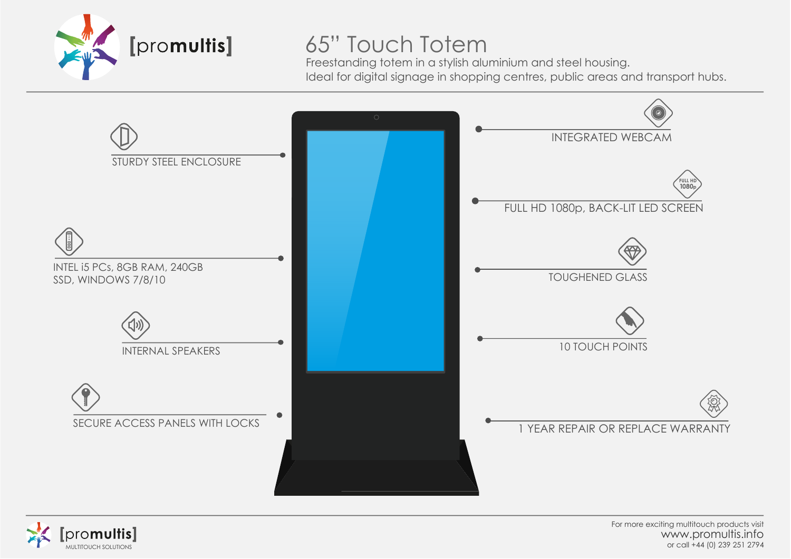

## 65" Touch Totem

Freestanding totem in a stylish aluminium and steel housing. Ideal for digital signage in shopping centres, public areas and transport hubs.





For more exciting multitouch products visit www.promultis.info MULTITOUCH SOLUTIONS or call +44 (0) 239 251 2794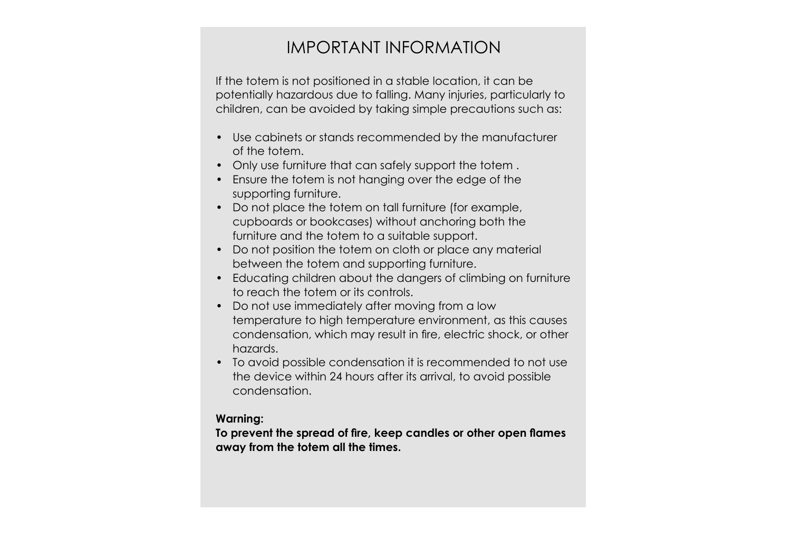## IMPORTANT INFORMATION

If the totem is not positioned in a stable location, it can be potentially hazardous due to falling. Many injuries, particularly to children, can be avoided by taking simple precautions such as:

- Use cabinets or stands recommended by the manufacturer of the totem.
- Only use furniture that can safely support the totem .
- Ensure the totem is not hanging over the edge of the supporting furniture.
- Do not place the totem on tall furniture (for example, cupboards or bookcases) without anchoring both the furniture and the totem to a suitable support.
- Do not position the totem on cloth or place any material between the totem and supporting furniture.
- Educating children about the dangers of climbing on furniture to reach the totem or its controls.
- Do not use immediately after moving from a low temperature to high temperature environment, as this causes condensation, which may result in fire, electric shock, or other hazards.
- To avoid possible condensation it is recommended to not use the device within 24 hours after its arrival, to avoid possible condensation.

#### **Warning:**

**To prevent the spread of fire, keep candles or other open flames away from the totem all the times.**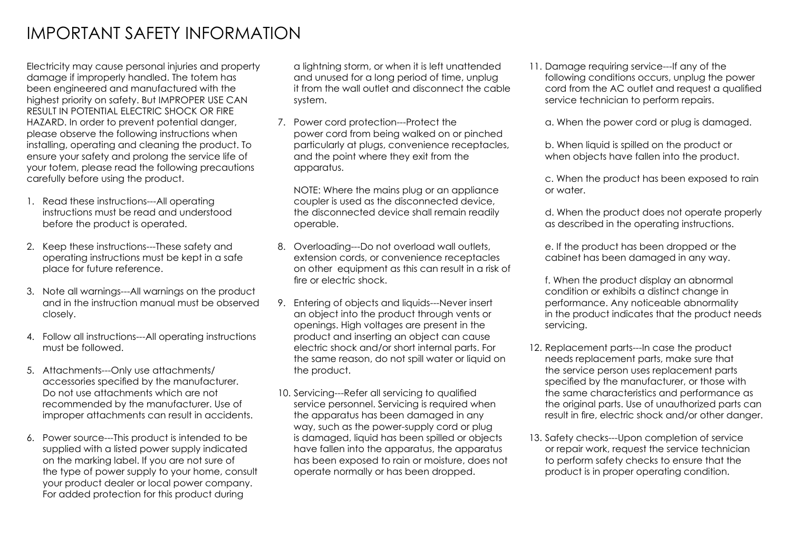## IMPORTANT SAFETY INFORMATION

Electricity may cause personal injuries and property damage if improperly handled. The totem has been engineered and manufactured with the highest priority on safety. But IMPROPER USE CAN RESULT IN POTENTIAL ELECTRIC SHOCK OR FIRE HAZARD. In order to prevent potential danger, please observe the following instructions when installing, operating and cleaning the product. To ensure your safety and prolong the service life of your totem, please read the following precautions carefully before using the product.

- 1. Read these instructions---All operating instructions must be read and understood before the product is operated.
- 2. Keep these instructions---These safety and operating instructions must be kept in a safe place for future reference.
- 3. Note all warnings---All warnings on the product and in the instruction manual must be observed closely.
- 4. Follow all instructions---All operating instructions must be followed.
- 5. Attachments---Only use attachments/ accessories specified by the manufacturer. Do not use attachments which are not recommended by the manufacturer. Use of improper attachments can result in accidents.
- 6. Power source---This product is intended to be supplied with a listed power supply indicated on the marking label. If you are not sure of the type of power supply to your home, consult your product dealer or local power company. For added protection for this product during

a lightning storm, or when it is left unattended and unused for a long period of time, unplug it from the wall outlet and disconnect the cable system.

7. Power cord protection---Protect the power cord from being walked on or pinched particularly at plugs, convenience receptacles, and the point where they exit from the apparatus.

NOTE: Where the mains plug or an appliance coupler is used as the disconnected device, the disconnected device shall remain readily operable.

- 8. Overloading---Do not overload wall outlets, extension cords, or convenience receptacles on other equipment as this can result in a risk of fire or electric shock.
- 9. Entering of objects and liquids---Never insert an object into the product through vents or openings. High voltages are present in the product and inserting an object can cause electric shock and/or short internal parts. For the same reason, do not spill water or liquid on the product.
- 10. Servicing---Refer all servicing to qualified service personnel. Servicing is required when the apparatus has been damaged in any way, such as the power-supply cord or plug is damaged, liquid has been spilled or objects have fallen into the apparatus, the apparatus has been exposed to rain or moisture, does not operate normally or has been dropped.

11. Damage requiring service---If any of the following conditions occurs, unplug the power cord from the AC outlet and request a qualified service technician to perform repairs.

a. When the power cord or plug is damaged.

b. When liquid is spilled on the product or when objects have fallen into the product.

c. When the product has been exposed to rain or water.

d. When the product does not operate properly as described in the operating instructions.

e. If the product has been dropped or the cabinet has been damaged in any way.

f. When the product display an abnormal condition or exhibits a distinct change in performance. Any noticeable abnormality in the product indicates that the product needs servicing.

- 12. Replacement parts---In case the product needs replacement parts, make sure that the service person uses replacement parts specified by the manufacturer, or those with the same characteristics and performance as the original parts. Use of unauthorized parts can result in fire, electric shock and/or other danger.
- 13. Safety checks---Upon completion of service or repair work, request the service technician to perform safety checks to ensure that the product is in proper operating condition.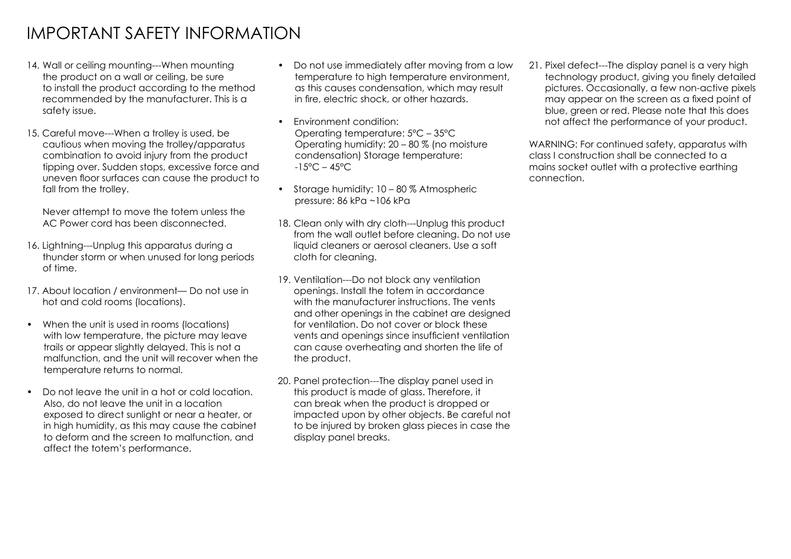## IMPORTANT SAFETY INFORMATION

- 14. Wall or ceiling mounting---When mounting the product on a wall or ceiling, be sure to install the product according to the method recommended by the manufacturer. This is a safety issue.
- 15. Careful move---When a trolley is used, be cautious when moving the trolley/apparatus combination to avoid injury from the product tipping over. Sudden stops, excessive force and uneven floor surfaces can cause the product to fall from the trolley.

Never attempt to move the totem unless the AC Power cord has been disconnected.

- 16. Lightning---Unplug this apparatus during a thunder storm or when unused for long periods of time.
- 17. About location / environment— Do not use in hot and cold rooms (locations).
- When the unit is used in rooms (locations) with low temperature, the picture may leave trails or appear slightly delayed. This is not a malfunction, and the unit will recover when the temperature returns to normal.
- Do not leave the unit in a hot or cold location. Also, do not leave the unit in a location exposed to direct sunlight or near a heater, or in high humidity, as this may cause the cabinet to deform and the screen to malfunction, and affect the totem's performance.
- Do not use immediately after moving from a low temperature to high temperature environment, as this causes condensation, which may result in fire, electric shock, or other hazards.
- Environment condition: Operating temperature: 5°C – 35°C Operating humidity: 20 – 80 % (no moisture condensation) Storage temperature:  $-15^{\circ}$ C – 45 $^{\circ}$ C
- Storage humidity: 10 80 % Atmospheric pressure: 86 kPa ~106 kPa
- 18. Clean only with dry cloth---Unplug this product from the wall outlet before cleaning. Do not use liquid cleaners or aerosol cleaners. Use a soft cloth for cleaning.
- 19. Ventilation---Do not block any ventilation openings. Install the totem in accordance with the manufacturer instructions. The vents and other openings in the cabinet are designed for ventilation. Do not cover or block these vents and openings since insufficient ventilation can cause overheating and shorten the life of the product.
- 20. Panel protection---The display panel used in this product is made of glass. Therefore, it can break when the product is dropped or impacted upon by other objects. Be careful not to be injured by broken glass pieces in case the display panel breaks.

21. Pixel defect---The display panel is a very high technology product, giving you finely detailed pictures. Occasionally, a few non-active pixels may appear on the screen as a fixed point of blue, green or red. Please note that this does not affect the performance of your product.

WARNING: For continued safety, apparatus with class I construction shall be connected to a mains socket outlet with a protective earthing connection.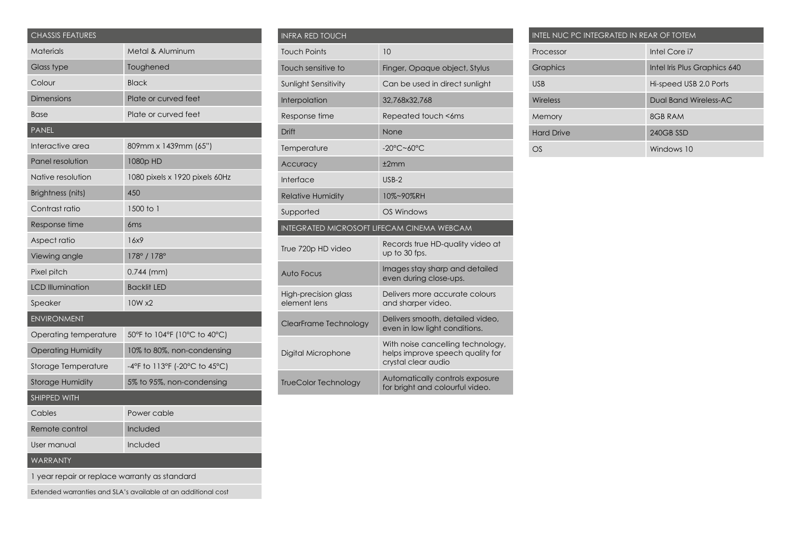| <b>CHASSIS FEATURES</b>                                       |                                |  |
|---------------------------------------------------------------|--------------------------------|--|
| Materials                                                     | Metal & Aluminum               |  |
| Glass type                                                    | Toughened                      |  |
| Colour                                                        | <b>Black</b>                   |  |
| <b>Dimensions</b>                                             | Plate or curved feet           |  |
| <b>Base</b>                                                   | Plate or curved feet           |  |
| <b>PANEL</b>                                                  |                                |  |
| Interactive area                                              | 809mm x 1439mm (65")           |  |
| Panel resolution                                              | 1080p HD                       |  |
| Native resolution                                             | 1080 pixels x 1920 pixels 60Hz |  |
| Brightness (nits)                                             | 450                            |  |
| Contrast ratio                                                | 1500 to 1                      |  |
| Response time                                                 | 6 <sub>ms</sub>                |  |
| Aspect ratio                                                  | 16x9                           |  |
| Viewing angle                                                 | 178° / 178°                    |  |
| Pixel pitch                                                   | $0.744$ (mm)                   |  |
| <b>LCD Illumination</b>                                       | <b>Backlit LED</b>             |  |
| Speaker                                                       | 10W x2                         |  |
| <b>ENVIRONMENT</b>                                            |                                |  |
| Operating temperature                                         | 50°F to 104°F (10°C to 40°C)   |  |
| <b>Operating Humidity</b>                                     | 10% to 80%, non-condensing     |  |
| Storage Temperature                                           | -4°F to 113°F (-20°C to 45°C)  |  |
| <b>Storage Humidity</b>                                       | 5% to 95%, non-condensing      |  |
| SHIPPED WITH                                                  |                                |  |
| Cables                                                        | Power cable                    |  |
| Remote control                                                | Included                       |  |
| User manual                                                   | Included                       |  |
| WARRANTY                                                      |                                |  |
| I year repair or replace warranty as standard                 |                                |  |
| Extended warranties and SLA's available at an additional cost |                                |  |

| <b>INFRA RED TOUCH</b>                            |                                                                                              |  |  |
|---------------------------------------------------|----------------------------------------------------------------------------------------------|--|--|
| <b>Touch Points</b>                               | 10                                                                                           |  |  |
| Touch sensitive to                                | Finger, Opaque object, Stylus                                                                |  |  |
| <b>Sunlight Sensitivity</b>                       | Can be used in direct sunlight                                                               |  |  |
| Interpolation                                     | 32,768x32,768                                                                                |  |  |
| Response time                                     | Repeated touch <6ms                                                                          |  |  |
| Drift                                             | None                                                                                         |  |  |
| Temperature                                       | $-20^{\circ}$ C~60 $^{\circ}$ C                                                              |  |  |
| Accuracy                                          | ±2mm                                                                                         |  |  |
| Interface                                         | $USB-2$                                                                                      |  |  |
| <b>Relative Humidity</b>                          | 10%~90%RH                                                                                    |  |  |
| Supported                                         | OS Windows                                                                                   |  |  |
| <b>INTEGRATED MICROSOFT LIFECAM CINEMA WEBCAM</b> |                                                                                              |  |  |
| True 720p HD video                                | Records true HD-quality video at<br>up to 30 fps.                                            |  |  |
| Auto Focus                                        | Images stay sharp and detailed<br>even during close-ups.                                     |  |  |
| High-precision glass<br>element lens              | Delivers more accurate colours<br>and sharper video.                                         |  |  |
| ClearFrame Technology                             | Delivers smooth, detailed video,<br>even in low light conditions.                            |  |  |
| Digital Microphone                                | With noise cancelling technology,<br>helps improve speech quality for<br>crystal clear audio |  |  |
| <b>TrueColor Technology</b>                       | Automatically controls exposure<br>for bright and colourful video.                           |  |  |

| INTEL NUC PC INTEGRATED IN REAR OF TOTEM |                              |  |  |  |
|------------------------------------------|------------------------------|--|--|--|
| Processor                                | Intel Core i7                |  |  |  |
| <b>Graphics</b>                          | Intel Iris Plus Graphics 640 |  |  |  |
| <b>USB</b>                               | Hi-speed USB 2.0 Ports       |  |  |  |
| Wireless                                 | Dual Band Wireless-AC        |  |  |  |
| Memory                                   | 8GB RAM                      |  |  |  |
| <b>Hard Drive</b>                        | 240GB SSD                    |  |  |  |
| OS                                       | Windows 10                   |  |  |  |
|                                          |                              |  |  |  |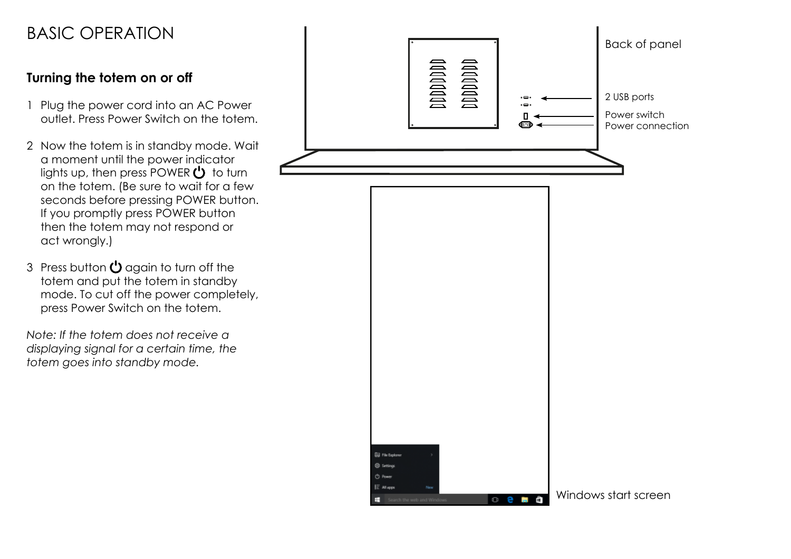## BASIC OPERATION

## **Turning the totem on or off**

- 1 Plug the power cord into an AC Power outlet. Press Power Switch on the totem.
- 2 Now the totem is in standby mode. Wait a moment until the power indicator lights up, then press POWER  $\binom{1}{2}$  to turn on the totem. (Be sure to wait for a few seconds before pressing POWER button. If you promptly press POWER button then the totem may not respond or act wrongly.)
- 3 Press button  $\mathbf{\dot{C}}$  again to turn off the totem and put the totem in standby mode. To cut off the power completely, press Power Switch on the totem.

*Note: If the totem does not receive a displaying signal for a certain time, the totem goes into standby mode.*

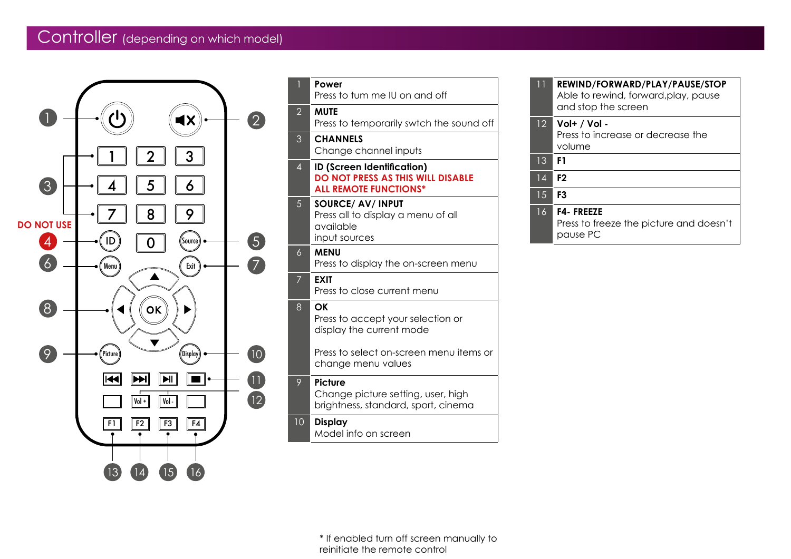## Controller (depending on which model)



| $\overline{1}$ | Power<br>Press to tum me IU on and off                                                                                               |
|----------------|--------------------------------------------------------------------------------------------------------------------------------------|
| $\overline{2}$ | <b>MUTE</b><br>Press to temporarily swtch the sound off                                                                              |
| 3              | <b>CHANNELS</b><br>Change channel inputs                                                                                             |
| $\overline{4}$ | <b>ID (Screen Identification)</b><br><b>DO NOT PRESS AS THIS WILL DISABLE</b><br><b>ALL REMOTE FUNCTIONS*</b>                        |
| 5              | <b>SOURCE/ AV/ INPUT</b><br>Press all to display a menu of all<br>available<br>input sources                                         |
| 6              | <b>MENU</b><br>Press to display the on-screen menu                                                                                   |
| $\overline{7}$ | <b>EXIT</b><br>Press to close current menu                                                                                           |
| 8              | ΟK<br>Press to accept your selection or<br>display the current mode<br>Press to select on-screen menu items or<br>change menu values |
| 9              | Picture<br>Change picture setting, user, high<br>brightness, standard, sport, cinema                                                 |
| 10             | <b>Display</b><br>Model info on screen                                                                                               |

| ו ו             | REWIND/FORWARD/PLAY/PAUSE/STOP<br>Able to rewind, forward, play, pause<br>and stop the screen |
|-----------------|-----------------------------------------------------------------------------------------------|
| 12 <sup>°</sup> | Vol+ / Vol -<br>Press to increase or decrease the<br>volume                                   |
| 13              | F1                                                                                            |
| 14              | F <sub>2</sub>                                                                                |
| 1.5             | F3                                                                                            |
| 16              | <b>F4-FREEZE</b><br>Press to freeze the picture and doesn't<br>pause PC                       |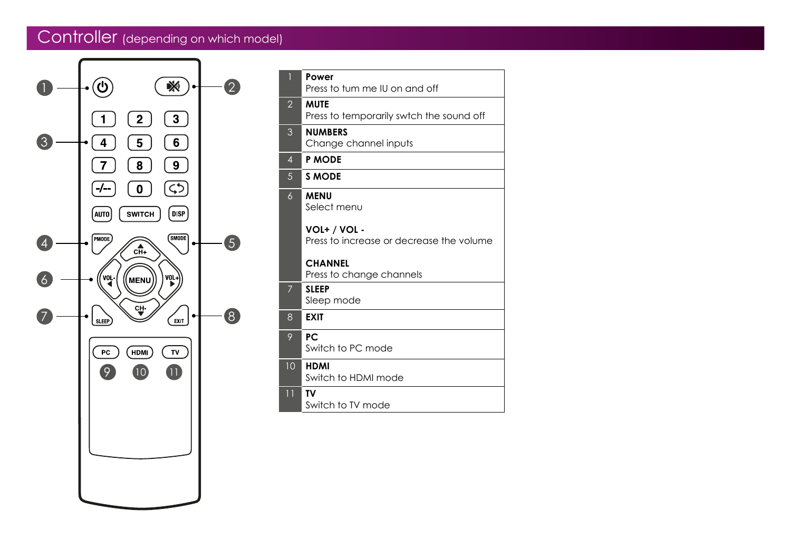## Controller (depending on which model)



| $\overline{1}$  | Power<br>Press to tum me IU on and off                   |
|-----------------|----------------------------------------------------------|
| $\overline{2}$  | <b>MUTE</b><br>Press to temporarily swtch the sound off  |
| 3               | <b>NUMBERS</b><br>Change channel inputs                  |
| $\overline{4}$  | <b>P MODE</b>                                            |
| 5               | <b>S MODE</b>                                            |
| 6               | <b>MENU</b><br>Select menu                               |
|                 | VOL+ / VOL -<br>Press to increase or decrease the volume |
|                 | <b>CHANNEL</b><br>Press to change channels               |
| 7               | <b>SLEEP</b><br>Sleep mode                               |
| 8               | <b>EXIT</b>                                              |
| 9               | PC.<br>Switch to PC mode                                 |
| 10              | <b>HDMI</b><br>Switch to HDMI mode                       |
| $\overline{11}$ | <b>TV</b><br>Switch to TV mode                           |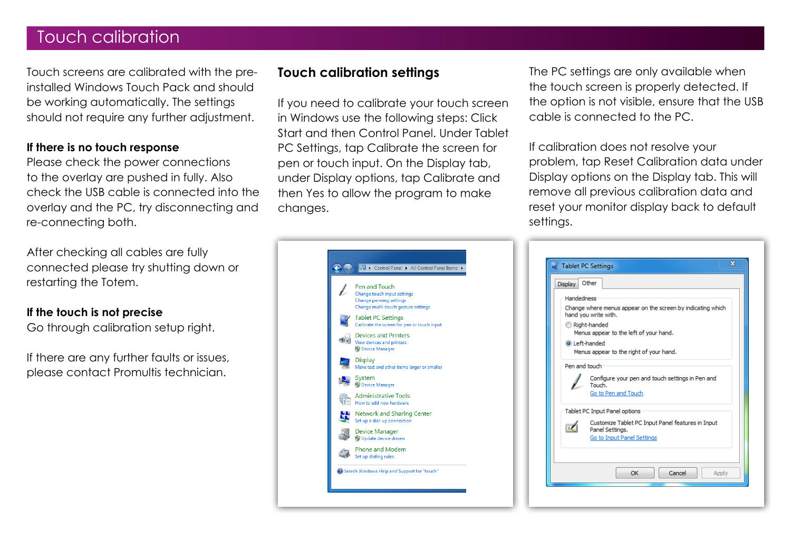## Touch calibration

Touch screens are calibrated with the preinstalled Windows Touch Pack and should be working automatically. The settings should not require any further adjustment.

#### **If there is no touch response**

Please check the power connections to the overlay are pushed in fully. Also check the USB cable is connected into the overlay and the PC, try disconnecting and re-connecting both.

After checking all cables are fully connected please try shutting down or restarting the Totem.

#### **If the touch is not precise**

Go through calibration setup right.

If there are any further faults or issues, please contact Promultis technician.

### **Touch calibration settings**

If you need to calibrate your touch screen in Windows use the following steps: Click Start and then Control Panel. Under Tablet PC Settings, tap Calibrate the screen for pen or touch input. On the Display tab, under Display options, tap Calibrate and then Yes to allow the program to make changes.

The PC settings are only available when the touch screen is properly detected. If the option is not visible, ensure that the USB cable is connected to the PC.

If calibration does not resolve your problem, tap Reset Calibration data under Display options on the Display tab. This will remove all previous calibration data and reset your monitor display back to default settings.



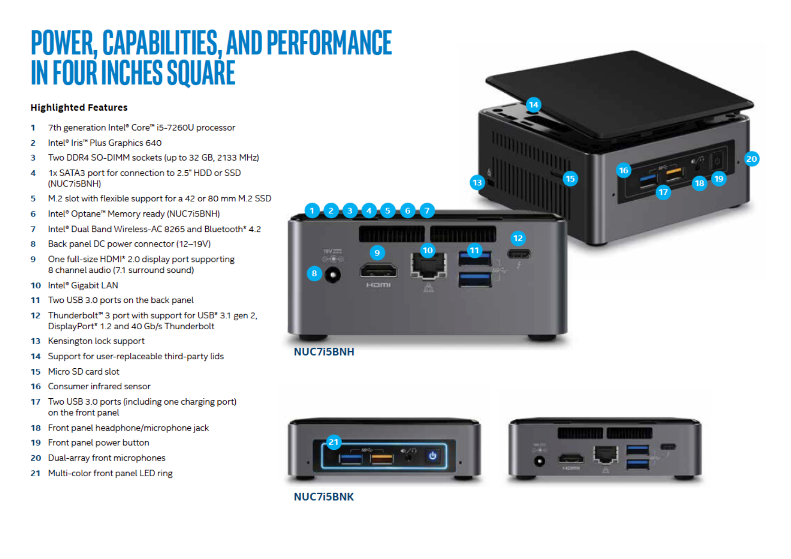# **POWER, CAPABILITIES, AND PERFORMANCE<br>IN FOUR INCHES SQUARE**

#### **Highlighted Features**

- 7th generation Intel® Core™ i5-7260U processor 1
- $\overline{a}$ Intel® Iris<sup>™</sup> Plus Graphics 640
- Two DDR4 SO-DIMM sockets (up to 32 GB, 2133 MHz) 3
- 1x SATA3 port for connection to 2.5" HDD or SSD 4 (NUC7i5BNH)
- M.2 slot with flexible support for a 42 or 80 mm M.2 SSD 5
- Intel<sup>®</sup> Optane<sup>™</sup> Memory ready (NUC7i5BNH) 6
- Intel® Dual Band Wireless-AC 8265 and Bluetooth\* 4.2  $\overline{7}$
- Back panel DC power connector (12-19V) 8
- One full-size HDMI\* 2.0 display port supporting  $\mathbf Q$ 8 channel audio (7.1 surround sound)
- 10 Intel® Gigabit LAN
- 11 Two USB 3.0 ports on the back panel
- 12 Thunderbolt<sup>"</sup> 3 port with support for USB<sup>\*</sup> 3.1 gen 2. DisplayPort\* 1.2 and 40 Gb/s Thunderbolt
- 13 Kensington lock support
- 14 Support for user-replaceable third-party lids
- 15 Micro SD card slot
- Consumer infrared sensor 16
- 17 Two USB 3.0 ports (including one charging port) on the front panel
- 18 Front panel headphone/microphone jack
- 19 Front panel power button
- 20 Dual-array front microphones
- 21 Multi-color front panel LED ring







**NUC7i5BNK**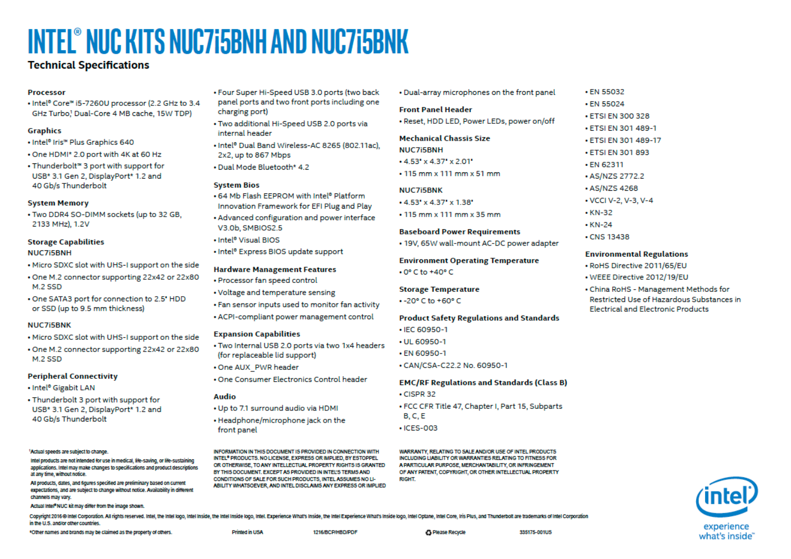# **INTEL® NUC KITS NUC7i5BNH AND NUC7i5BNK**

#### **Technical Specifications**

#### **Processor**

. Intel® Core™ i5-7260U processor (2.2 GHz to 3.4 GHz Turbo! Dual-Core 4 MB cache, 15W TDP)

#### **Graphics**

- Intel<sup>®</sup> Iris<sup>™</sup> Plus Graphics 640
- . One HDMI\* 2.0 port with 4K at 60 Hz
- . Thunderbolt™ 3 port with support for USB\* 3.1 Gen 2, DisplayPort\* 1.2 and 40 Gb/s Thunderbolt

#### **System Memory**

. Two DDR4 SO-DIMM sockets (up to 32 GB, 2133 MHz), 1.2V

#### **Storage Capabilities NUC7i5BNH**

- . Micro SDXC slot with UHS-I support on the side
- . One M.2 connector supporting 22x42 or 22x80 M.2 SSD
- . One SATA3 port for connection to 2.5' HDD or SSD (up to 9.5 mm thickness)

#### **NUC7i5BNK**

- . Micro SDXC slot with UHS-I support on the side
- . One M.2 connector supporting 22x42 or 22x80 M.2 SSD

#### **Peripheral Connectivity**

- Intel<sup>®</sup> Gigabit LAN
- Thunderbolt 3 port with support for USB\* 3.1 Gen 2, DisplayPort\* 1.2 and 40 Gb/s Thunderbolt

#### <sup>1</sup>Actual speeds are subject to change

Intel products are not intended for use in medical, life-saving, or life-sustaining applications. Intel may make changes to specifications and product descriptions at any time, without notice.

All products, dates, and figures specified are preliminary based on current expectations, and are subject to change without notice. Availability in different channels may vary.

Actual Intel® NUC kit may differ from the image shown.

- . Four Super Hi-Speed USB 3.0 ports (two back panel ports and two front ports including one charging port)
- . Two additional Hi-Speed USB 2.0 ports via internal header
- . Intel<sup>®</sup> Dual Band Wireless-AC 8265 (802.11ac). 2x2, up to 867 Mbps
- . Dual Mode Bluetooth\* 4.2

#### **System Bios**

- .64 Mb Flash FFPROM with Intel<sup>®</sup> Platform Innovation Framework for EFI Plug and Play
- Advanced configuration and power interface V3.0b, SMBIOS2.5
- . Intel<sup>®</sup> Visual BIOS
- . Intel® Express BIOS update support

#### **Hardware Management Features**

- Processor fan speed control
- Voltage and temperature sensing
- . Fan sensor inputs used to monitor fan activity
- ACPI-compliant power management control

#### **Expansion Capabilities**

- . Two Internal USB 2.0 ports via two 1x4 headers (for replaceable lid support)
- . One AUX PWR header
- . One Consumer Electronics Control header

#### **Audio**

- . Up to 7.1 surround audio via HDMI
- Headphone/microphone jack on the front panel

INFORMATION IN THIS DOCUMENT IS PROVIDED IN CONNECTION WITH INTEL<sup>®</sup> PRODUCTS. NO LICENSE. EXPRESS OR IMPLIED. BY ESTOPPEL OR OTHERWISE. TO ANY INTELLECTUAL PROPERTY RIGHTS IS GRANTED BY THIS DOCUMENT. EXCEPT AS PROVIDED IN INTEL'S TERMS AND CONDITIONS OF SALE FOR SUCH PRODUCTS. INTEL ASSUMES NO LI-ABILITY WHATSOEVER, AND INTEL DISCLAIMS ANY EXPRESS OR IMPLIED . Dual-array microphones on the front panel

#### **Front Panel Header**

. Reset, HDD LED, Power LEDs, power on/off

#### **Mechanical Chassis Size**

- **NUC7i5BNH**
- $\cdot$  4.53' x 4.37' x 2.01'
- $\cdot$  115 mm x 111 mm x 51 mm

#### **NUC7i5BNK**

- $+4.53$ ' x 4.37' x 1.38'
- $\cdot$  115 mm x 111 mm x 35 mm

#### **Baseboard Power Requirements**

• 19V, 65W wall-mount AC-DC power adapter

#### **Environment Operating Temperature**

 $\cdot$  0 $\degree$  C to +40 $\degree$  C

#### **Storage Temperature**

 $-20^{\circ}$  C to  $+60^{\circ}$  C

#### **Product Safety Regulations and Standards**

- IEC 60950-1
- $-11160950 1$
- EN 60950-1
- CAN/CSA-C22.2 No. 60950-1

#### **EMC/RF Regulations and Standards (Class B)**

- $\cdot$  CISPR 32
- FCC CFR Title 47, Chapter I, Part 15, Subparts  $B, C, E$
- $\cdot$  ICES-003

WARRANTY, RELATING TO SALE AND/OR USE OF INTEL PRODUCTS INCLUDING LIABILITY OR WARRANTIES RELATING TO FITNESS FOR A PARTICULAR PURPOSE, MERCHANTABILITY, OR INFRINGEMENT OF ANY PATENT, COPYRIGHT, OR OTHER INTELLECTUAL PROPERTY **RIGHT** 

#### • EN 55024 • FTSI FN 300 328

- **ETSI EN 301 489-1**
- ETSI EN 301 489-17 **. ETSI EN 301 893**
- · EN 62311 • AS/NZS 2772.2

• EN 55032

- AS/NZS 4268
- VCCI V-2, V-3, V-4
- $\cdot$  KN-32
- $\cdot$  KN-24
- 
- **CNS 13438**

#### **Environmental Regulations**

- · RoHS Directive 2011/65/EU
- . WEEE Directive 2012/19/EU
- China RoHS Management Methods for Restricted Use of Hazardous Substances in **Electrical and Electronic Products**



Copyright 2016 @ Intel Corporation. All rights reserved. Intel, the Intel logo, Intel Inside, the Intel Inside togo, Intel. Experience What's Inside, the Intel Experience What's Inside Inside Intel Copper line Conter Intel in the U.S. and/or other countries.

\*Other names and brands may be claimed as the property of others.

Drinfort in USA

1216/BCP/HBD/PDF

**6 Please Recycle**